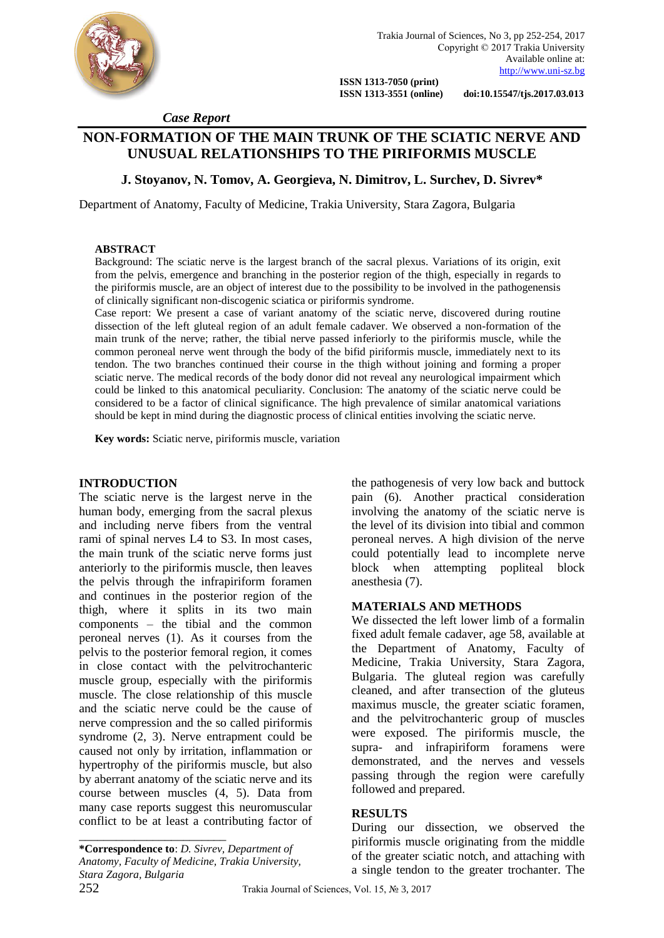

 **ISSN 1313-7050 (print)** 

 **ISSN 1313-3551 (online) doi:10.15547/tjs.2017.03.013**

 *Case Report*

# **NON-FORMATION OF THE MAIN TRUNK OF THE SCIATIC NERVE AND UNUSUAL RELATIONSHIPS TO THE PIRIFORMIS MUSCLE**

### **J. Stoyanov, N. Tomov, A. Georgieva, N. Dimitrov, L. Surchev, D. Sivrev\***

Department of Anatomy, Faculty of Medicine, Trakia University, Stara Zagora, Bulgaria

#### **ABSTRACT**

Background: The sciatic nerve is the largest branch of the sacral plexus. Variations of its origin, exit from the pelvis, emergence and branching in the posterior region of the thigh, especially in regards to the piriformis muscle, are an object of interest due to the possibility to be involved in the pathogenensis of clinically significant non-discogenic sciatica or piriformis syndrome.

Case report: We present a case of variant anatomy of the sciatic nerve, discovered during routine dissection of the left gluteal region of an adult female cadaver. We observed a non-formation of the main trunk of the nerve; rather, the tibial nerve passed inferiorly to the piriformis muscle, while the common peroneal nerve went through the body of the bifid piriformis muscle, immediately next to its tendon. The two branches continued their course in the thigh without joining and forming a proper sciatic nerve. The medical records of the body donor did not reveal any neurological impairment which could be linked to this anatomical peculiarity. Conclusion: The anatomy of the sciatic nerve could be considered to be a factor of clinical significance. The high prevalence of similar anatomical variations should be kept in mind during the diagnostic process of clinical entities involving the sciatic nerve.

**Key words:** Sciatic nerve, piriformis muscle, variation

#### **INTRODUCTION**

The sciatic nerve is the largest nerve in the human body, emerging from the sacral plexus and including nerve fibers from the ventral rami of spinal nerves L4 to S3. In most cases, the main trunk of the sciatic nerve forms just anteriorly to the piriformis muscle, then leaves the pelvis through the infrapiriform foramen and continues in the posterior region of the thigh, where it splits in its two main components – the tibial and the common peroneal nerves (1). As it courses from the pelvis to the posterior femoral region, it comes in close contact with the pelvitrochanteric muscle group, especially with the piriformis muscle. The close relationship of this muscle and the sciatic nerve could be the cause of nerve compression and the so called piriformis syndrome (2, 3). Nerve entrapment could be caused not only by irritation, inflammation or hypertrophy of the piriformis muscle, but also by aberrant anatomy of the sciatic nerve and its course between muscles (4, 5). Data from many case reports suggest this neuromuscular conflict to be at least a contributing factor of

\_\_\_\_\_\_\_\_\_\_\_\_\_\_\_\_\_\_\_\_\_\_\_\_ **\*Correspondence to**: *D. Sivrev, Department of Anatomy, Faculty of Medicine, Trakia University, Stara Zagora, Bulgaria*

the pathogenesis of very low back and buttock pain (6). Another practical consideration involving the anatomy of the sciatic nerve is the level of its division into tibial and common peroneal nerves. A high division of the nerve could potentially lead to incomplete nerve block when attempting popliteal block anesthesia (7).

#### **MATERIALS AND METHODS**

We dissected the left lower limb of a formalin fixed adult female cadaver, age 58, available at the Department of Anatomy, Faculty of Medicine, Trakia University, Stara Zagora, Bulgaria. The gluteal region was carefully cleaned, and after transection of the gluteus maximus muscle, the greater sciatic foramen, and the pelvitrochanteric group of muscles were exposed. The piriformis muscle, the supra- and infrapiriform foramens were demonstrated, and the nerves and vessels passing through the region were carefully followed and prepared.

#### **RESULTS**

During our dissection, we observed the piriformis muscle originating from the middle of the greater sciatic notch, and attaching with a single tendon to the greater trochanter. The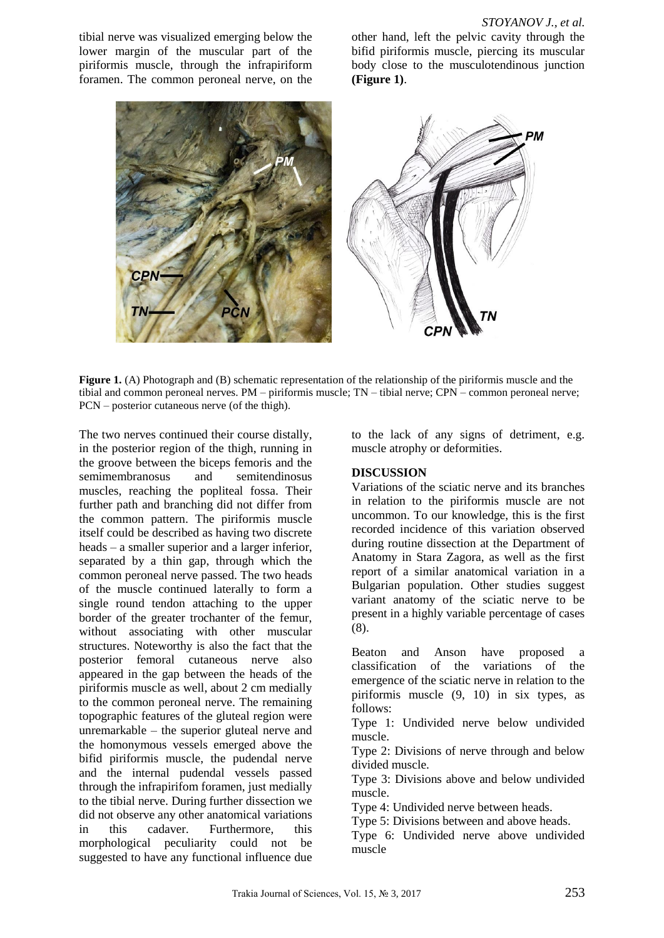tibial nerve was visualized emerging below the lower margin of the muscular part of the piriformis muscle, through the infrapiriform foramen. The common peroneal nerve, on the other hand, left the pelvic cavity through the bifid piriformis muscle, piercing its muscular body close to the musculotendinous junction **(Figure 1)**.



Figure 1. (A) Photograph and (B) schematic representation of the relationship of the piriformis muscle and the tibial and common peroneal nerves. PM – piriformis muscle; TN – tibial nerve; CPN – common peroneal nerve; PCN – posterior cutaneous nerve (of the thigh).

The two nerves continued their course distally, in the posterior region of the thigh, running in the groove between the biceps femoris and the semimembranosus and semitendinosus muscles, reaching the popliteal fossa. Their further path and branching did not differ from the common pattern. The piriformis muscle itself could be described as having two discrete heads – a smaller superior and a larger inferior, separated by a thin gap, through which the common peroneal nerve passed. The two heads of the muscle continued laterally to form a single round tendon attaching to the upper border of the greater trochanter of the femur, without associating with other muscular structures. Noteworthy is also the fact that the posterior femoral cutaneous nerve also appeared in the gap between the heads of the piriformis muscle as well, about 2 cm medially to the common peroneal nerve. The remaining topographic features of the gluteal region were unremarkable – the superior gluteal nerve and the homonymous vessels emerged above the bifid piriformis muscle, the pudendal nerve and the internal pudendal vessels passed through the infrapirifom foramen, just medially to the tibial nerve. During further dissection we did not observe any other anatomical variations in this cadaver. Furthermore, this morphological peculiarity could not be suggested to have any functional influence due

to the lack of any signs of detriment, e.g. muscle atrophy or deformities.

#### **DISCUSSION**

Variations of the sciatic nerve and its branches in relation to the piriformis muscle are not uncommon. To our knowledge, this is the first recorded incidence of this variation observed during routine dissection at the Department of Anatomy in Stara Zagora, as well as the first report of a similar anatomical variation in a Bulgarian population. Other studies suggest variant anatomy of the sciatic nerve to be present in a highly variable percentage of cases (8).

Beaton and Anson have proposed a classification of the variations of the emergence of the sciatic nerve in relation to the piriformis muscle (9, 10) in six types, as follows:

Type 1: Undivided nerve below undivided muscle.

Type 2: Divisions of nerve through and below divided muscle.

Type 3: Divisions above and below undivided muscle.

Type 4: Undivided nerve between heads.

Type 5: Divisions between and above heads.

Type 6: Undivided nerve above undivided muscle